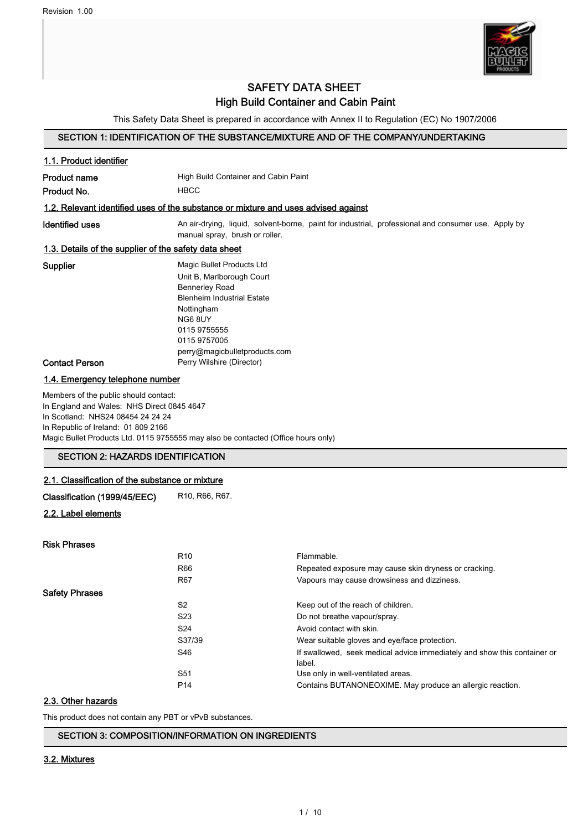

# SAFETY DATA SHEET High Build Container and Cabin Paint

This Safety Data Sheet is prepared in accordance with Annex II to Regulation (EC) No 1907/2006

## SECTION 1: IDENTIFICATION OF THE SUBSTANCE/MIXTURE AND OF THE COMPANY/UNDERTAKING

# 1.1. Product identifier **Product name** High Build Container and Cabin Paint Product No. **HBCC** 1.2. Relevant identified uses of the substance or mixture and uses advised against Identified uses **An air-drying, liquid, solvent-borne**, paint for industrial, professional and consumer use. Apply by manual spray, brush or roller. 1.3. Details of the supplier of the safety data sheet Supplier Magic Bullet Products Ltd Unit B, Marlborough Court Bennerley Road Blenheim Industrial Estate Nottingham NG6 8UY 0115 9755555 0115 9757005 perry@magicbulletproducts.com Contact Person **Perry Wilshire (Director)** 1.4. Emergency telephone number Members of the public should contact: In England and Wales: NHS Direct 0845 4647 In Scotland: NHS24 08454 24 24 24 In Republic of Ireland: 01 809 2166 Magic Bullet Products Ltd. 0115 9755555 may also be contacted (Office hours only) SECTION 2: HAZARDS IDENTIFICATION 2.1. Classification of the substance or mixture

Classification (1999/45/EEC) R10, R66, R67.

## 2.2. Label elements

| <b>Risk Phrases</b>   |                 |                                                                                    |
|-----------------------|-----------------|------------------------------------------------------------------------------------|
|                       | R <sub>10</sub> | Flammable.                                                                         |
|                       | R66             | Repeated exposure may cause skin dryness or cracking.                              |
|                       | R67             | Vapours may cause drowsiness and dizziness.                                        |
| <b>Safety Phrases</b> |                 |                                                                                    |
|                       | S <sub>2</sub>  | Keep out of the reach of children.                                                 |
|                       | S <sub>23</sub> | Do not breathe vapour/spray.                                                       |
|                       | S <sub>24</sub> | Avoid contact with skin.                                                           |
|                       | S37/39          | Wear suitable gloves and eye/face protection.                                      |
|                       | S46             | If swallowed, seek medical advice immediately and show this container or<br>label. |
|                       | S <sub>51</sub> | Use only in well-ventilated areas.                                                 |
|                       | P <sub>14</sub> | Contains BUTANONEOXIME. May produce an allergic reaction.                          |

## 2.3. Other hazards

This product does not contain any PBT or vPvB substances.

#### SECTION 3: COMPOSITION/INFORMATION ON INGREDIENTS

#### 3.2. Mixtures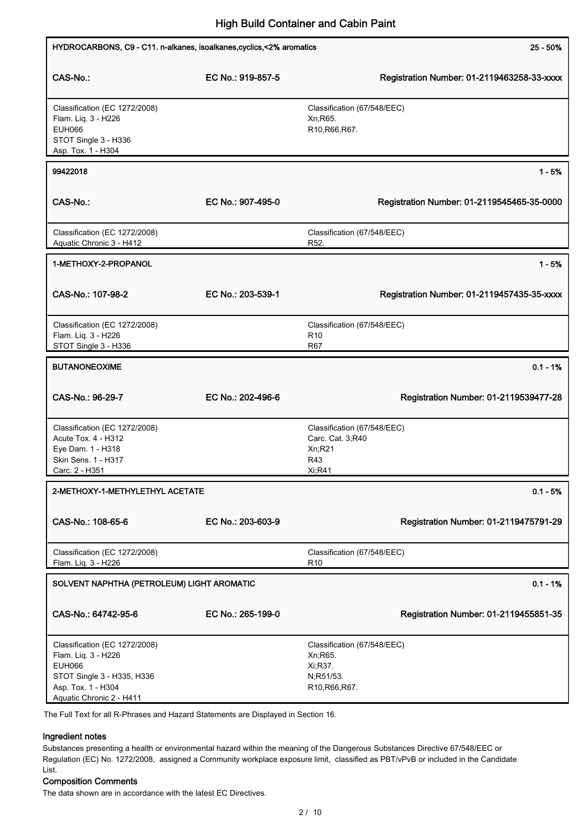| HYDROCARBONS, C9 - C11. n-alkanes, isoalkanes, cyclics, <2% aromatics                                                                                 |                   | $25 - 50%$                                                                         |
|-------------------------------------------------------------------------------------------------------------------------------------------------------|-------------------|------------------------------------------------------------------------------------|
| CAS-No.:                                                                                                                                              | EC No.: 919-857-5 | Registration Number: 01-2119463258-33-xxxx                                         |
| Classification (EC 1272/2008)<br>Flam. Liq. 3 - H226<br><b>EUH066</b><br>STOT Single 3 - H336<br>Asp. Tox. 1 - H304                                   |                   | Classification (67/548/EEC)<br>Xn; R65.<br>R10, R66, R67.                          |
| 99422018                                                                                                                                              |                   | $1 - 5%$                                                                           |
| CAS-No.:                                                                                                                                              | EC No.: 907-495-0 | Registration Number: 01-2119545465-35-0000                                         |
| Classification (EC 1272/2008)<br>Aquatic Chronic 3 - H412                                                                                             |                   | Classification (67/548/EEC)<br>R52.                                                |
| 1-METHOXY-2-PROPANOL                                                                                                                                  |                   | $1 - 5%$                                                                           |
| CAS-No.: 107-98-2                                                                                                                                     | EC No.: 203-539-1 | Registration Number: 01-2119457435-35-xxxx                                         |
| Classification (EC 1272/2008)<br>Flam. Liq. 3 - H226<br>STOT Single 3 - H336                                                                          |                   | Classification (67/548/EEC)<br>R <sub>10</sub><br>R67                              |
| <b>BUTANONEOXIME</b>                                                                                                                                  |                   | $0.1 - 1%$                                                                         |
| CAS-No.: 96-29-7                                                                                                                                      | EC No.: 202-496-6 | Registration Number: 01-2119539477-28                                              |
| Classification (EC 1272/2008)<br>Acute Tox. 4 - H312<br>Eye Dam. 1 - H318<br>Skin Sens. 1 - H317<br>Carc. 2 - H351                                    |                   | Classification (67/548/EEC)<br>Carc. Cat. 3;R40<br>Xn; R21<br>R43<br>Xi:R41        |
| 2-METHOXY-1-METHYLETHYL ACETATE                                                                                                                       |                   | $0.1 - 5%$                                                                         |
| CAS-No.: 108-65-6                                                                                                                                     | EC No.: 203-603-9 | Registration Number: 01-2119475791-29                                              |
| Classification (EC 1272/2008)<br>Flam. Liq. 3 - H226                                                                                                  |                   | Classification (67/548/EEC)<br>R <sub>10</sub>                                     |
| SOLVENT NAPHTHA (PETROLEUM) LIGHT AROMATIC                                                                                                            |                   | $0.1 - 1%$                                                                         |
| CAS-No.: 64742-95-6                                                                                                                                   | EC No.: 265-199-0 | Registration Number: 01-2119455851-35                                              |
| Classification (EC 1272/2008)<br>Flam. Liq. 3 - H226<br><b>EUH066</b><br>STOT Single 3 - H335, H336<br>Asp. Tox. 1 - H304<br>Aquatic Chronic 2 - H411 |                   | Classification (67/548/EEC)<br>Xn; R65.<br>Xi, R37.<br>N;R51/53.<br>R10, R66, R67. |

The Full Text for all R-Phrases and Hazard Statements are Displayed in Section 16.

#### Ingredient notes

Substances presenting a health or environmental hazard within the meaning of the Dangerous Substances Directive 67/548/EEC or Regulation (EC) No. 1272/2008, assigned a Community workplace exposure limit, classified as PBT/vPvB or included in the Candidate List.

## Composition Comments

The data shown are in accordance with the latest EC Directives.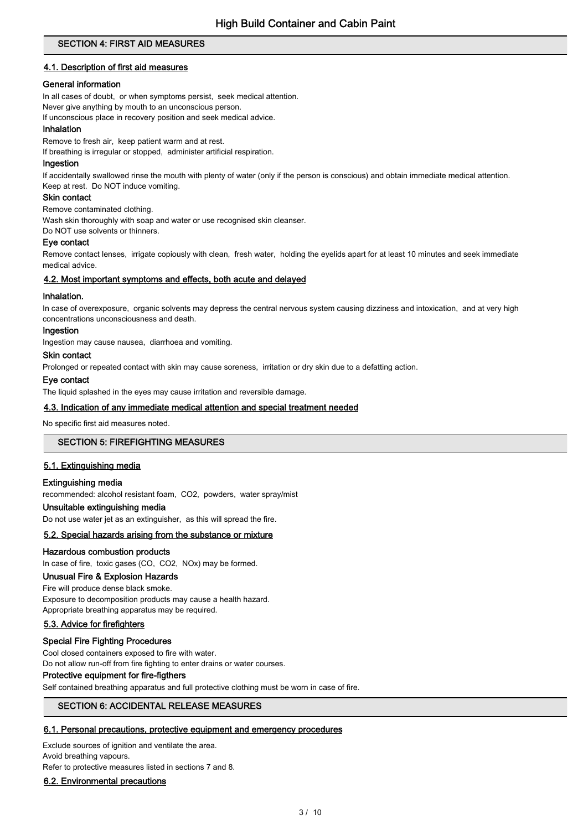## SECTION 4: FIRST AID MEASURES

## 4.1. Description of first aid measures

## General information

In all cases of doubt, or when symptoms persist, seek medical attention.

Never give anything by mouth to an unconscious person.

If unconscious place in recovery position and seek medical advice.

#### Inhalation

Remove to fresh air, keep patient warm and at rest.

If breathing is irregular or stopped, administer artificial respiration.

#### Ingestion

If accidentally swallowed rinse the mouth with plenty of water (only if the person is conscious) and obtain immediate medical attention. Keep at rest. Do NOT induce vomiting.

#### Skin contact

Remove contaminated clothing.

Wash skin thoroughly with soap and water or use recognised skin cleanser.

Do NOT use solvents or thinners.

#### Eye contact

Remove contact lenses, irrigate copiously with clean, fresh water, holding the eyelids apart for at least 10 minutes and seek immediate medical advice.

#### 4.2. Most important symptoms and effects, both acute and delayed

#### Inhalation.

In case of overexposure, organic solvents may depress the central nervous system causing dizziness and intoxication, and at very high concentrations unconsciousness and death.

#### Ingestion

Ingestion may cause nausea, diarrhoea and vomiting.

### Skin contact

Prolonged or repeated contact with skin may cause soreness, irritation or dry skin due to a defatting action.

#### Eye contact

The liquid splashed in the eyes may cause irritation and reversible damage.

#### 4.3. Indication of any immediate medical attention and special treatment needed

No specific first aid measures noted.

#### SECTION 5: FIREFIGHTING MEASURES

## 5.1. Extinguishing media

#### Extinguishing media

recommended: alcohol resistant foam, CO2, powders, water spray/mist

## Unsuitable extinguishing media

Do not use water jet as an extinguisher, as this will spread the fire.

## 5.2. Special hazards arising from the substance or mixture

#### Hazardous combustion products

In case of fire, toxic gases (CO, CO2, NOx) may be formed.

## Unusual Fire & Explosion Hazards

#### Fire will produce dense black smoke.

Exposure to decomposition products may cause a health hazard. Appropriate breathing apparatus may be required.

## 5.3. Advice for firefighters

#### Special Fire Fighting Procedures

Cool closed containers exposed to fire with water.

Do not allow run-off from fire fighting to enter drains or water courses.

## Protective equipment for fire-figthers

Self contained breathing apparatus and full protective clothing must be worn in case of fire.

## SECTION 6: ACCIDENTAL RELEASE MEASURES

## 6.1. Personal precautions, protective equipment and emergency procedures

Exclude sources of ignition and ventilate the area. Avoid breathing vapours.

Refer to protective measures listed in sections 7 and 8.

#### 6.2. Environmental precautions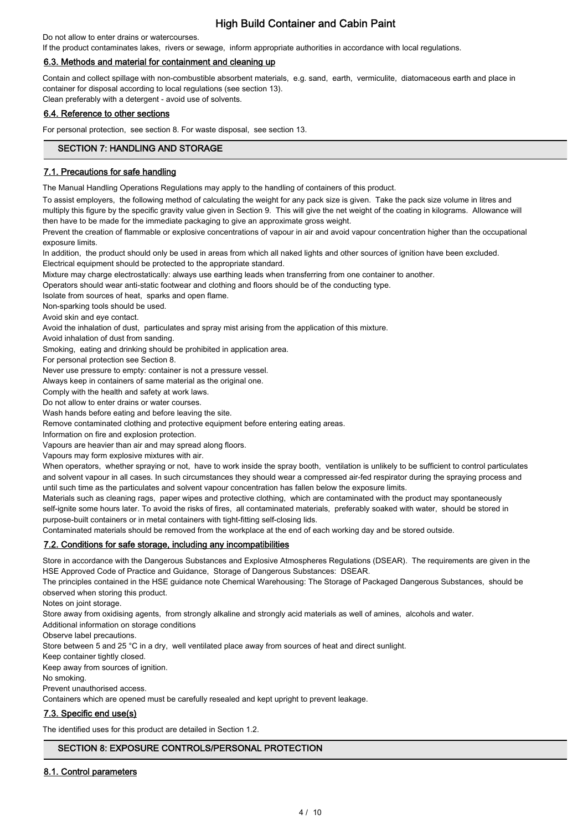Do not allow to enter drains or watercourses.

If the product contaminates lakes, rivers or sewage, inform appropriate authorities in accordance with local regulations.

## 6.3. Methods and material for containment and cleaning up

Contain and collect spillage with non-combustible absorbent materials, e.g. sand, earth, vermiculite, diatomaceous earth and place in container for disposal according to local regulations (see section 13). Clean preferably with a detergent - avoid use of solvents.

## 6.4. Reference to other sections

For personal protection, see section 8. For waste disposal, see section 13.

## SECTION 7: HANDLING AND STORAGE

## 7.1. Precautions for safe handling

The Manual Handling Operations Regulations may apply to the handling of containers of this product.

To assist employers, the following method of calculating the weight for any pack size is given. Take the pack size volume in litres and multiply this figure by the specific gravity value given in Section 9. This will give the net weight of the coating in kilograms. Allowance will then have to be made for the immediate packaging to give an approximate gross weight.

Prevent the creation of flammable or explosive concentrations of vapour in air and avoid vapour concentration higher than the occupational exposure limits.

In addition, the product should only be used in areas from which all naked lights and other sources of ignition have been excluded. Electrical equipment should be protected to the appropriate standard.

Mixture may charge electrostatically: always use earthing leads when transferring from one container to another.

Operators should wear anti-static footwear and clothing and floors should be of the conducting type.

Isolate from sources of heat, sparks and open flame.

Non-sparking tools should be used.

Avoid skin and eye contact.

Avoid the inhalation of dust, particulates and spray mist arising from the application of this mixture.

Avoid inhalation of dust from sanding.

Smoking, eating and drinking should be prohibited in application area.

For personal protection see Section 8.

Never use pressure to empty: container is not a pressure vessel.

Always keep in containers of same material as the original one.

Comply with the health and safety at work laws.

Do not allow to enter drains or water courses.

Wash hands before eating and before leaving the site.

Remove contaminated clothing and protective equipment before entering eating areas.

Information on fire and explosion protection.

Vapours are heavier than air and may spread along floors.

Vapours may form explosive mixtures with air.

When operators, whether spraying or not, have to work inside the spray booth, ventilation is unlikely to be sufficient to control particulates and solvent vapour in all cases. In such circumstances they should wear a compressed air-fed respirator during the spraying process and until such time as the particulates and solvent vapour concentration has fallen below the exposure limits.

Materials such as cleaning rags, paper wipes and protective clothing, which are contaminated with the product may spontaneously self-ignite some hours later. To avoid the risks of fires, all contaminated materials, preferably soaked with water, should be stored in purpose-built containers or in metal containers with tight-fitting self-closing lids.

Contaminated materials should be removed from the workplace at the end of each working day and be stored outside.

## 7.2. Conditions for safe storage, including any incompatibilities

Store in accordance with the Dangerous Substances and Explosive Atmospheres Regulations (DSEAR). The requirements are given in the HSE Approved Code of Practice and Guidance, Storage of Dangerous Substances: DSEAR.

The principles contained in the HSE guidance note Chemical Warehousing: The Storage of Packaged Dangerous Substances, should be observed when storing this product.

Notes on joint storage.

Store away from oxidising agents, from strongly alkaline and strongly acid materials as well of amines, alcohols and water.

Additional information on storage conditions

Observe label precautions.

Store between 5 and 25 °C in a dry, well ventilated place away from sources of heat and direct sunlight.

Keep container tightly closed.

Keep away from sources of ignition.

No smoking.

Prevent unauthorised access.

Containers which are opened must be carefully resealed and kept upright to prevent leakage.

## 7.3. Specific end use(s)

The identified uses for this product are detailed in Section 1.2.

## SECTION 8: EXPOSURE CONTROLS/PERSONAL PROTECTION

## 8.1. Control parameters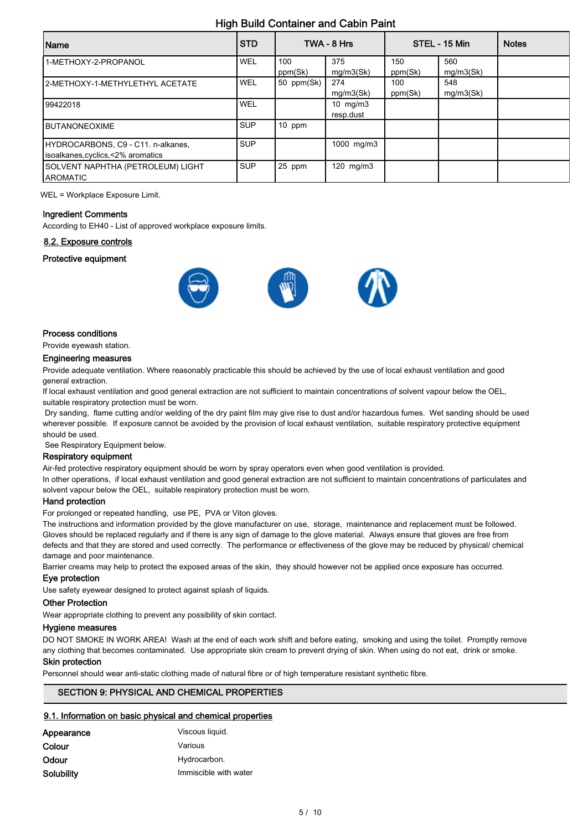| Name                                                                   | <b>STD</b> |                | TWA - 8 Hrs             |                | STEL - 15 Min    | <b>Notes</b> |
|------------------------------------------------------------------------|------------|----------------|-------------------------|----------------|------------------|--------------|
| 1-METHOXY-2-PROPANOL                                                   | WEL        | 100<br>ppm(Sk) | 375<br>mq/m3(Sk)        | 150<br>ppm(Sk) | 560<br>mq/m3(Sk) |              |
| 12-METHOXY-1-METHYLETHYL ACETATE                                       | WEL        | 50 ppm(Sk)     | 274<br>mq/m3(Sk)        | 100<br>ppm(Sk) | 548<br>mq/m3(Sk) |              |
| 99422018                                                               | WEL        |                | 10 $mg/m3$<br>resp.dust |                |                  |              |
| <b>IBUTANONEOXIME</b>                                                  | <b>SUP</b> | $10$ ppm       |                         |                |                  |              |
| HYDROCARBONS, C9 - C11. n-alkanes,<br>Isoalkanes.cyclics.<2% aromatics | <b>SUP</b> |                | 1000 mg/m3              |                |                  |              |
| SOLVENT NAPHTHA (PETROLEUM) LIGHT<br><b>AROMATIC</b>                   | <b>SUP</b> | 25 ppm         | 120 mg/m3               |                |                  |              |

WEL = Workplace Exposure Limit.

#### Ingredient Comments

According to EH40 - List of approved workplace exposure limits.

### 8.2. Exposure controls

#### Protective equipment



#### Process conditions

## Provide eyewash station.

#### Engineering measures

Provide adequate ventilation. Where reasonably practicable this should be achieved by the use of local exhaust ventilation and good general extraction.

If local exhaust ventilation and good general extraction are not sufficient to maintain concentrations of solvent vapour below the OEL, suitable respiratory protection must be worn.

 Dry sanding, flame cutting and/or welding of the dry paint film may give rise to dust and/or hazardous fumes. Wet sanding should be used wherever possible. If exposure cannot be avoided by the provision of local exhaust ventilation, suitable respiratory protective equipment should be used.

See Respiratory Equipment below.

#### Respiratory equipment

Air-fed protective respiratory equipment should be worn by spray operators even when good ventilation is provided.

In other operations, if local exhaust ventilation and good general extraction are not sufficient to maintain concentrations of particulates and solvent vapour below the OEL, suitable respiratory protection must be worn.

#### Hand protection

For prolonged or repeated handling, use PE, PVA or Viton gloves.

The instructions and information provided by the glove manufacturer on use, storage, maintenance and replacement must be followed. Gloves should be replaced regularly and if there is any sign of damage to the glove material. Always ensure that gloves are free from defects and that they are stored and used correctly. The performance or effectiveness of the glove may be reduced by physical/ chemical damage and poor maintenance.

Barrier creams may help to protect the exposed areas of the skin, they should however not be applied once exposure has occurred.

#### Eye protection

Use safety eyewear designed to protect against splash of liquids.

#### Other Protection

Wear appropriate clothing to prevent any possibility of skin contact.

#### Hygiene measures

DO NOT SMOKE IN WORK AREA! Wash at the end of each work shift and before eating, smoking and using the toilet. Promptly remove any clothing that becomes contaminated. Use appropriate skin cream to prevent drying of skin. When using do not eat, drink or smoke.

## Skin protection

Personnel should wear anti-static clothing made of natural fibre or of high temperature resistant synthetic fibre.

#### SECTION 9: PHYSICAL AND CHEMICAL PROPERTIES

#### 9.1. Information on basic physical and chemical properties

| Appearance | Viscous liquid.       |
|------------|-----------------------|
| Colour     | Various               |
| Odour      | Hydrocarbon.          |
| Solubility | Immiscible with water |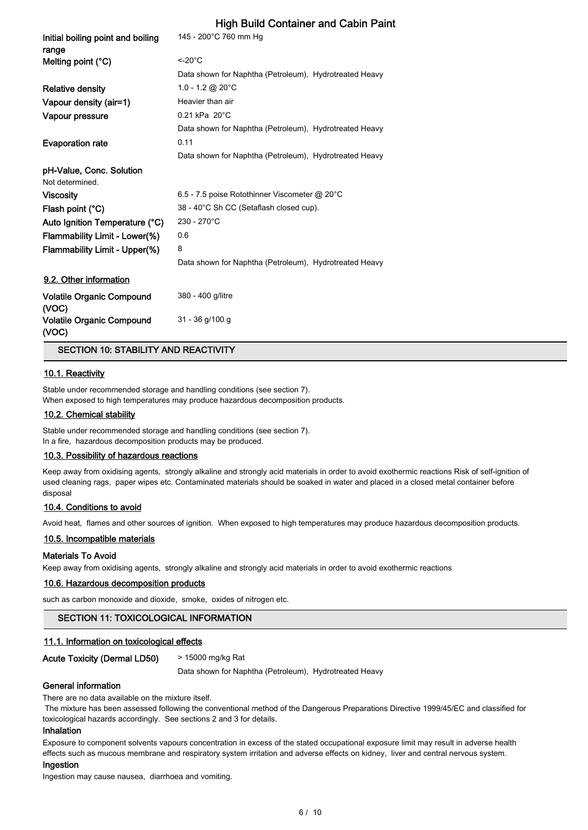| Initial boiling point and boiling<br>range | 145 - 200°C 760 mm Hg                                  |
|--------------------------------------------|--------------------------------------------------------|
| Melting point (°C)                         | $<$ -20 $^{\circ}$ C                                   |
|                                            | Data shown for Naphtha (Petroleum), Hydrotreated Heavy |
| <b>Relative density</b>                    | 1.0 - 1.2 @ 20 $^{\circ}$ C                            |
| Vapour density (air=1)                     | Heavier than air                                       |
| Vapour pressure                            | $0.21$ kPa $20^{\circ}$ C                              |
|                                            | Data shown for Naphtha (Petroleum), Hydrotreated Heavy |
| <b>Evaporation rate</b>                    | 0.11                                                   |
|                                            | Data shown for Naphtha (Petroleum), Hydrotreated Heavy |
| pH-Value, Conc. Solution                   |                                                        |
| Not determined.                            |                                                        |
| <b>Viscosity</b>                           | 6.5 - 7.5 poise Rotothinner Viscometer @ 20°C          |
| Flash point (°C)                           | 38 - 40°C Sh CC (Setaflash closed cup).                |
| Auto Ignition Temperature (°C)             | 230 - 270°C                                            |
| Flammability Limit - Lower(%)              | 0.6                                                    |
| Flammability Limit - Upper(%)              | 8                                                      |
|                                            | Data shown for Naphtha (Petroleum), Hydrotreated Heavy |
| 9.2. Other information                     |                                                        |
| <b>Volatile Organic Compound</b><br>(VOC)  | 380 - 400 g/litre                                      |
| <b>Volatile Organic Compound</b><br>(VOC)  | $31 - 36$ g/100 g                                      |
|                                            |                                                        |

#### SECTION 10: STABILITY AND REACTIVITY

#### 10.1. Reactivity

Stable under recommended storage and handling conditions (see section 7). When exposed to high temperatures may produce hazardous decomposition products.

#### 10.2. Chemical stability

Stable under recommended storage and handling conditions (see section 7). In a fire, hazardous decomposition products may be produced.

#### 10.3. Possibility of hazardous reactions

Keep away from oxidising agents, strongly alkaline and strongly acid materials in order to avoid exothermic reactions Risk of self-ignition of used cleaning rags, paper wipes etc. Contaminated materials should be soaked in water and placed in a closed metal container before disposal

#### 10.4. Conditions to avoid

Avoid heat, flames and other sources of ignition. When exposed to high temperatures may produce hazardous decomposition products.

#### 10.5. Incompatible materials

#### Materials To Avoid

Keep away from oxidising agents, strongly alkaline and strongly acid materials in order to avoid exothermic reactions

#### 10.6. Hazardous decomposition products

such as carbon monoxide and dioxide, smoke, oxides of nitrogen etc.

### SECTION 11: TOXICOLOGICAL INFORMATION

#### 11.1. Information on toxicological effects

```
Acute Toxicity (Dermal LD50) > 15000 mg/kg Rat
```
Data shown for Naphtha (Petroleum), Hydrotreated Heavy

#### General information

There are no data available on the mixture itself.

 The mixture has been assessed following the conventional method of the Dangerous Preparations Directive 1999/45/EC and classified for toxicological hazards accordingly. See sections 2 and 3 for details.

## Inhalation

Exposure to component solvents vapours concentration in excess of the stated occupational exposure limit may result in adverse health effects such as mucous membrane and respiratory system irritation and adverse effects on kidney, liver and central nervous system.

#### Ingestion

Ingestion may cause nausea, diarrhoea and vomiting.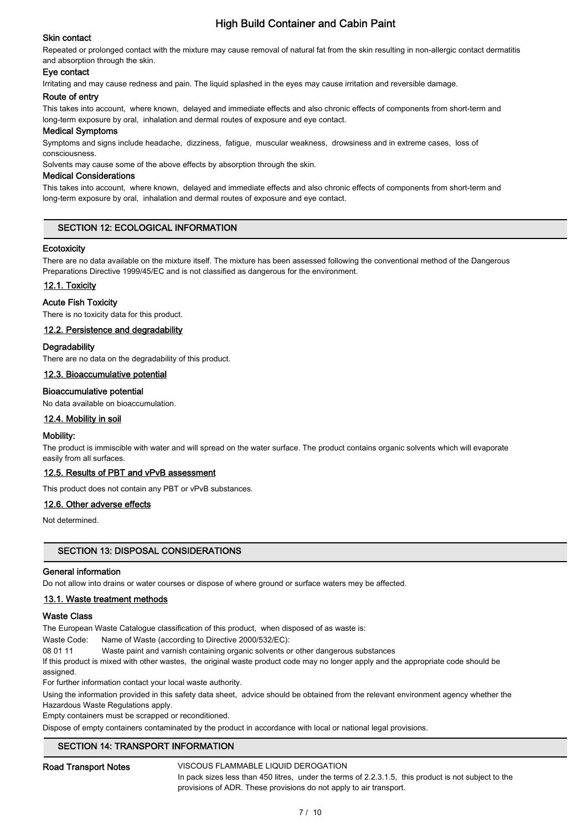## Skin contact

Repeated or prolonged contact with the mixture may cause removal of natural fat from the skin resulting in non-allergic contact dermatitis and absorption through the skin.

## Eye contact

Irritating and may cause redness and pain. The liquid splashed in the eyes may cause irritation and reversible damage.

#### Route of entry

This takes into account, where known, delayed and immediate effects and also chronic effects of components from short-term and long-term exposure by oral, inhalation and dermal routes of exposure and eye contact.

#### Medical Symptoms

Symptoms and signs include headache, dizziness, fatigue, muscular weakness, drowsiness and in extreme cases, loss of consciousness.

Solvents may cause some of the above effects by absorption through the skin.

#### Medical Considerations

This takes into account, where known, delayed and immediate effects and also chronic effects of components from short-term and long-term exposure by oral, inhalation and dermal routes of exposure and eye contact.

## SECTION 12: ECOLOGICAL INFORMATION

#### **Ecotoxicity**

There are no data available on the mixture itself. The mixture has been assessed following the conventional method of the Dangerous Preparations Directive 1999/45/EC and is not classified as dangerous for the environment.

#### 12.1. Toxicity

#### Acute Fish Toxicity

There is no toxicity data for this product.

#### 12.2. Persistence and degradability

#### **Degradability**

There are no data on the degradability of this product.

#### 12.3. Bioaccumulative potential

#### Bioaccumulative potential

No data available on bioaccumulation.

#### 12.4. Mobility in soil

#### Mobility:

The product is immiscible with water and will spread on the water surface. The product contains organic solvents which will evaporate easily from all surfaces.

#### 12.5. Results of PBT and vPvB assessment

This product does not contain any PBT or vPvB substances.

#### 12.6. Other adverse effects

Not determined.

#### SECTION 13: DISPOSAL CONSIDERATIONS

#### General information

Do not allow into drains or water courses or dispose of where ground or surface waters mey be affected.

#### 13.1. Waste treatment methods

#### Waste Class

The European Waste Catalogue classification of this product, when disposed of as waste is:

Waste Code: Name of Waste (according to Directive 2000/532/EC):

08 01 11 Waste paint and varnish containing organic solvents or other dangerous substances

If this product is mixed with other wastes, the original waste product code may no longer apply and the appropriate code should be assigned.

For further information contact your local waste authority.

Using the information provided in this safety data sheet, advice should be obtained from the relevant environment agency whether the Hazardous Waste Regulations apply.

Empty containers must be scrapped or reconditioned.

Dispose of empty containers contaminated by the product in accordance with local or national legal provisions.

## SECTION 14: TRANSPORT INFORMATION

#### Road Transport Notes **VISCOUS FLAMMABLE LIQUID DEROGATION**

In pack sizes less than 450 litres, under the terms of 2.2.3.1.5, this product is not subject to the provisions of ADR. These provisions do not apply to air transport.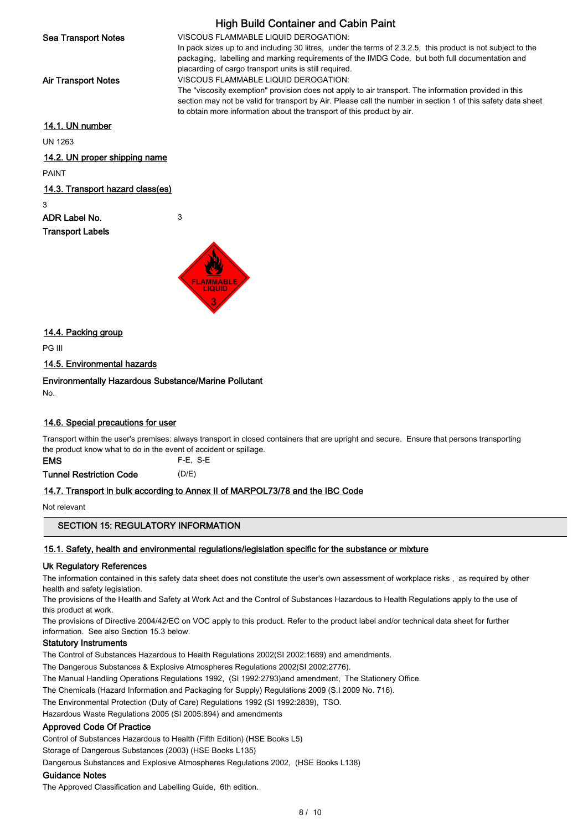High Build Container and Cabin Paint Sea Transport Notes **VISCOUS FLAMMABLE LIQUID DEROGATION:** In pack sizes up to and including 30 litres, under the terms of 2.3.2.5, this product is not subject to the packaging, labelling and marking requirements of the IMDG Code, but both full documentation and placarding of cargo transport units is still required. Air Transport Notes **VISCOUS FLAMMABLE LIQUID DEROGATION:** The "viscosity exemption" provision does not apply to air transport. The information provided in this section may not be valid for transport by Air. Please call the number in section 1 of this safety data sheet to obtain more information about the transport of this product by air. 14.1. UN number UN 1263 14.2. UN proper shipping name PAINT

## 14.3. Transport hazard class(es)

3

ADR Label No. 3 Transport Labels



14.4. Packing group

PG III

14.5. Environmental hazards

Environmentally Hazardous Substance/Marine Pollutant

No.

## 14.6. Special precautions for user

Transport within the user's premises: always transport in closed containers that are upright and secure. Ensure that persons transporting the product know what to do in the event of accident or spillage.

EMS F-E, S-E

Tunnel Restriction Code (D/E)

## 14.7. Transport in bulk according to Annex II of MARPOL73/78 and the IBC Code

Not relevant

## SECTION 15: REGULATORY INFORMATION

## 15.1. Safety, health and environmental regulations/legislation specific for the substance or mixture

## Uk Regulatory References

The information contained in this safety data sheet does not constitute the user's own assessment of workplace risks , as required by other health and safety legislation.

The provisions of the Health and Safety at Work Act and the Control of Substances Hazardous to Health Regulations apply to the use of this product at work.

The provisions of Directive 2004/42/EC on VOC apply to this product. Refer to the product label and/or technical data sheet for further information. See also Section 15.3 below.

## Statutory Instruments

The Control of Substances Hazardous to Health Regulations 2002(SI 2002:1689) and amendments.

The Dangerous Substances & Explosive Atmospheres Regulations 2002(SI 2002:2776).

The Manual Handling Operations Regulations 1992, (SI 1992:2793)and amendment, The Stationery Office.

The Chemicals (Hazard Information and Packaging for Supply) Regulations 2009 (S.I 2009 No. 716).

The Environmental Protection (Duty of Care) Regulations 1992 (SI 1992:2839), TSO.

Hazardous Waste Regulations 2005 (SI 2005:894) and amendments

## Approved Code Of Practice

Control of Substances Hazardous to Health (Fifth Edition) (HSE Books L5)

Storage of Dangerous Substances (2003) (HSE Books L135)

Dangerous Substances and Explosive Atmospheres Regulations 2002, (HSE Books L138)

#### Guidance Notes

The Approved Classification and Labelling Guide, 6th edition.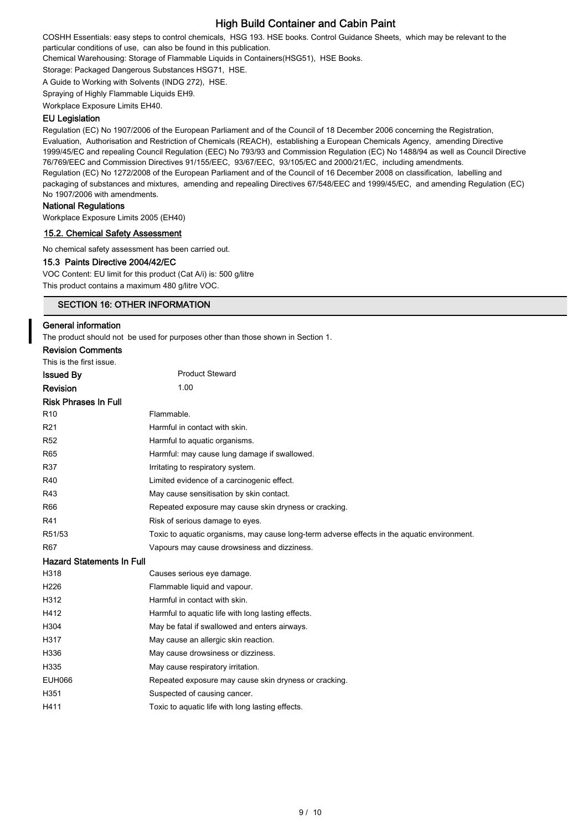COSHH Essentials: easy steps to control chemicals, HSG 193. HSE books. Control Guidance Sheets, which may be relevant to the particular conditions of use, can also be found in this publication.

Chemical Warehousing: Storage of Flammable Liquids in Containers(HSG51), HSE Books.

Storage: Packaged Dangerous Substances HSG71, HSE.

A Guide to Working with Solvents (INDG 272), HSE.

Spraying of Highly Flammable Liquids EH9.

Workplace Exposure Limits EH40.

#### EU Legislation

Regulation (EC) No 1907/2006 of the European Parliament and of the Council of 18 December 2006 concerning the Registration, Evaluation, Authorisation and Restriction of Chemicals (REACH), establishing a European Chemicals Agency, amending Directive 1999/45/EC and repealing Council Regulation (EEC) No 793/93 and Commission Regulation (EC) No 1488/94 as well as Council Directive 76/769/EEC and Commission Directives 91/155/EEC, 93/67/EEC, 93/105/EC and 2000/21/EC, including amendments. Regulation (EC) No 1272/2008 of the European Parliament and of the Council of 16 December 2008 on classification, labelling and packaging of substances and mixtures, amending and repealing Directives 67/548/EEC and 1999/45/EC, and amending Regulation (EC) No 1907/2006 with amendments.

## National Regulations

Workplace Exposure Limits 2005 (EH40)

## 15.2. Chemical Safety Assessment

No chemical safety assessment has been carried out.

#### 15.3 Paints Directive 2004/42/EC

VOC Content: EU limit for this product (Cat A/i) is: 500 g/litre This product contains a maximum 480 g/litre VOC.

## SECTION 16: OTHER INFORMATION

#### General information

The product should not be used for purposes other than those shown in Section 1.

| <b>Revision Comments</b>         |                                                                                             |
|----------------------------------|---------------------------------------------------------------------------------------------|
| This is the first issue.         |                                                                                             |
| <b>Issued By</b>                 | <b>Product Steward</b>                                                                      |
| <b>Revision</b>                  | 1.00                                                                                        |
| <b>Risk Phrases In Full</b>      |                                                                                             |
| R <sub>10</sub>                  | Flammable.                                                                                  |
| R <sub>21</sub>                  | Harmful in contact with skin.                                                               |
| <b>R52</b>                       | Harmful to aquatic organisms.                                                               |
| R65                              | Harmful: may cause lung damage if swallowed.                                                |
| R37                              | Irritating to respiratory system.                                                           |
| R40                              | Limited evidence of a carcinogenic effect.                                                  |
| R43                              | May cause sensitisation by skin contact.                                                    |
| <b>R66</b>                       | Repeated exposure may cause skin dryness or cracking.                                       |
| R41                              | Risk of serious damage to eyes.                                                             |
| R51/53                           | Toxic to aquatic organisms, may cause long-term adverse effects in the aquatic environment. |
| R67                              | Vapours may cause drowsiness and dizziness.                                                 |
| <b>Hazard Statements In Full</b> |                                                                                             |
| H318                             | Causes serious eye damage.                                                                  |
| H <sub>226</sub>                 | Flammable liquid and vapour.                                                                |
| H312                             | Harmful in contact with skin.                                                               |
| H412                             | Harmful to aquatic life with long lasting effects.                                          |
| H304                             | May be fatal if swallowed and enters airways.                                               |
| H317                             | May cause an allergic skin reaction.                                                        |
| H336                             | May cause drowsiness or dizziness.                                                          |
| H335                             | May cause respiratory irritation.                                                           |
| <b>EUH066</b>                    | Repeated exposure may cause skin dryness or cracking.                                       |
| H351                             | Suspected of causing cancer.                                                                |
| H411                             | Toxic to aquatic life with long lasting effects.                                            |
|                                  |                                                                                             |